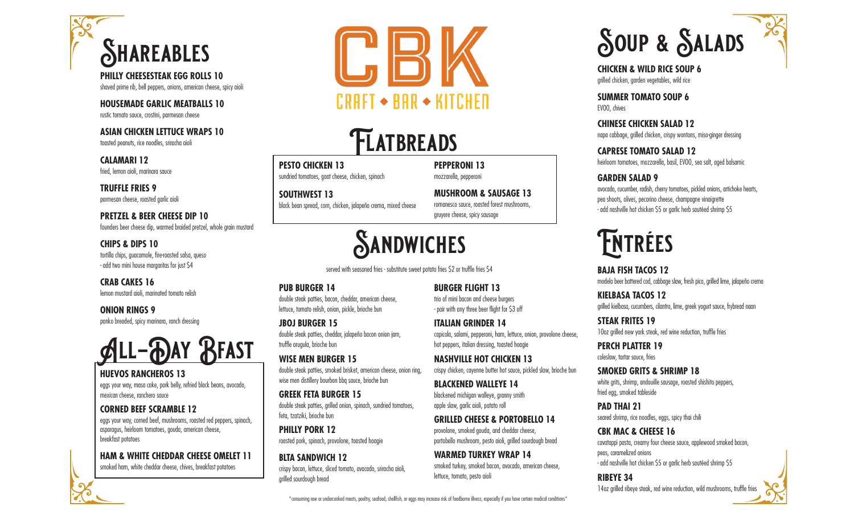

**PHILLY CHEESESTEAK EGG ROLLS 10**  shaved prime rib, bell peppers, onions, american cheese, spicy aioli

**HOUSEMADE GARLIC MEATBALLS 10**  rustic tomato sauce, crostini, parmesan cheese

**ASIAN CHICKEN LETTUCE WRAPS 10** toasted peanuts, rice noodles, sriracha aioli

**CALAMARI 12** fried, lemon aioli, marinara sauce

**TRUFFLE FRIES 9**  parmesan cheese, roasted garlic aioli

**PRETZEL & BEER CHEESE DIP 10** founders beer cheese dip, warmed braided pretzel, whole grain mustard

**CHIPS & DIPS 10**  tortilla chips, guacamole, fire-roasted salsa, queso - add two mini house margaritas for just \$4

**CRAB CAKES 16**  lemon mustard aioli, marinated tomato relish

**ONION RINGS 9**  panko breaded, spicy marinara, ranch dressing



# **HUEVOS RANCHEROS 13**

eggs your way, masa cake, pork belly, refried black beans, avocado, mexican cheese, ranchero sauce

## **CORNED BEEF SCRAMBLE 12**

eggs your way, corned beef, mushrooms, roasted red peppers, spinach, asparagus, heirloom tomatoes, gouda, american cheese, breakfast potatoes

## **HAM & WHITE CHEDDAR CHEESE OMELET 11**

smoked ham, white cheddar cheese, chives, breakfast potatoes



# **Flatbreads**

**PESTO CHICKEN 13**  sundried tomatoes, goat cheese, chicken, spinach

**SOUTHWEST 13**  black bean spread, corn, chicken, jalapeño crema, mixed cheese **MUSHROOM & SAUSAGE 13**  romanesco sauce, roasted forest mushrooms, gruyere cheese, spicy sausage

**BURGER FLIGHT 13**  trio of mini bacon and cheese burgers - pair with any three beer flight for \$3 off **ITALIAN GRINDER 14**

hot peppers, italian dressing, toasted hoagie **NASHVILLE HOT CHICKEN 13**

**BLACKENED WALLEYE 14** blackened michigan walleye, granny smith apple slaw, garlic aioli, potato roll

capicola, salami, pepperoni, ham, lettuce, onion, provolone cheese,

crispy chicken, cayenne butter hot sauce, pickled slaw, brioche bun

**GRILLED CHEESE & PORTOBELLO 14** provolone, smoked gouda, and cheddar cheese, portobello mushroom, pesto aioli, grilled sourdough bread

smoked turkey, smoked bacon, avocado, american cheese,

**WARMED TURKEY WRAP 14**

lettuce, tomato, pesto aioli

**PEPPERONI 13**  mozzarella, pepperoni

# **Sandwiches**

served with seasoned fries - substitute sweet potato fries \$2 or truffle fries \$4

#### **PUB BURGER 14**

double steak patties, bacon, cheddar, american cheese, lettuce, tomato relish, onion, pickle, brioche bun

**JBOJ BURGER 15**  double steak patties, cheddar, jalapeño bacon onion jam, truffle arugula, brioche bun

**WISE MEN BURGER 15**  double steak patties, smoked brisket, american cheese, onion ring, wise men distillery bourbon bbq sauce, brioche bun

**GREEK FETA BURGER 15**  double steak patties, grilled onion, spinach, sundried tomatoes, feta, tzatziki, brioche bun

**PHILLY PORK 12** roasted pork, spinach, provolone, toasted hoagie

**BLTA SANDWICH 12**  crispy bacon, lettuce, sliced tomato, avacado, sriracha aioli, grilled sourdough bread

**Soup & Salads**

**CHICKEN & WILD RICE SOUP 6** grilled chicken, garden vegetables, wild rice

**SUMMER TOMATO SOUP 6** EVOO, chives

# **CHINESE CHICKEN SALAD 12**

napa cabbage, grilled chicken, crispy wontons, miso-ginger dressing

## **CAPRESE TOMATO SALAD 12**

heirloom tomatoes, mozzarella, basil, EVOO, sea salt, aged balsamic

## **GARDEN SALAD 9**

avocado, cucumber, radish, cherry tomatoes, pickled onions, artichoke hearts, pea shoots, olives, pecorino cheese, champagne vinaigrette - add nashville hot chicken \$5 or garlic herb sautéed shrimp \$5

# **Entrées**

**BAJA FISH TACOS 12** modelo beer battered cod, cabbage slaw, fresh pico, grilled lime, jalapeño crema

**KIELBASA TACOS 12** grilled kielbasa, cucumbers, cilantro, lime, greek yogurt sauce, frybread naan

**STEAK FRITES 19** 10oz grilled new york steak, red wine reduction, truffle fries

**PERCH PLATTER 19**  coleslaw, tartar sauce, fries

**SMOKED GRITS & SHRIMP 18** white grits, shrimp, andouille sausage, roasted shishito peppers, fried egg, smoked tableside

**PAD THAI 21** seared shrimp, rice noodles, eggs, spicy thai chili

**CBK MAC & CHEESE 16** cavatappi pasta, creamy four cheese sauce, applewood smoked bacon, peas, caramelized onions - add nashville hot chicken \$5 or garlic herb sautéed shrimp \$5

**RIBEYE 34** 14oz grilled ribeye steak, red wine reduction, wild mushrooms, truffle fries

\*consuming raw or undercooked meats, poultry, seafood, shellfish, or eggs may increase risk of foodborne illness, especially if you have certain medical conditions\*